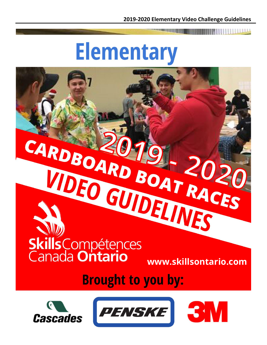**The Common** 

## **Elementary**

# VIDEO GUIDELINES Skills Compétences

**www.skillsontario.com**

### **Brought to you by:**

CARDBOARD BOAT RACES





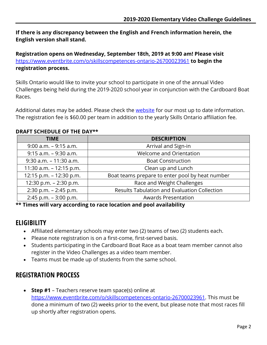**If there is any discrepancy between the English and French information herein, the English version shall stand.**

**Registration opens on Wednesday, September 18th, 2019 at 9:00 am! Please visit**  <https://www.eventbrite.com/o/skillscompetences-ontario-26700023961> **to begin the registration process.**

Skills Ontario would like to invite your school to participate in one of the annual Video Challenges being held during the 2019-2020 school year in conjunction with the Cardboard Boat Races.

Additional dates may be added. Please check the [website](http://www.skillsontario.com/competitions/cardboard-boat-races-and-video-challenges) for our most up to date information. The registration fee is \$60.00 per team in addition to the yearly Skills Ontario affiliation fee.

#### **DRAFT SCHEDULE OF THE DAY\*\***

| <b>DESCRIPTION</b>                              |  |  |
|-------------------------------------------------|--|--|
| Arrival and Sign-in                             |  |  |
| Welcome and Orientation                         |  |  |
| <b>Boat Construction</b>                        |  |  |
| Clean up and Lunch                              |  |  |
| Boat teams prepare to enter pool by heat number |  |  |
| Race and Weight Challenges                      |  |  |
| Results Tabulation and Evaluation Collection    |  |  |
| <b>Awards Presentation</b>                      |  |  |
|                                                 |  |  |

**\*\* Times will vary according to race location and pool availability**

#### **ELIGIBILITY**

- Affiliated elementary schools may enter two (2) teams of two (2) students each.
- Please note registration is on a first-come, first-served basis.
- Students participating in the Cardboard Boat Race as a boat team member cannot also register in the Video Challenges as a video team member.
- Teams must be made up of students from the same school.

#### **REGISTRATION PROCESS**

 **Step #1** – Teachers reserve team space(s) online at [https://www.eventbrite.com/o/skillscompetences-ontario-26700023961.](https://www.eventbrite.com/o/skillscompetences-ontario-26700023961) This must be done a minimum of two (2) weeks prior to the event, but please note that most races fill up shortly after registration opens.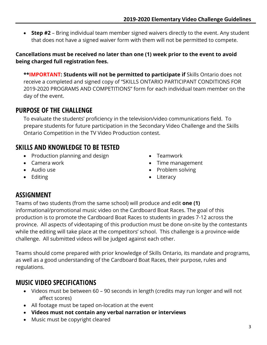**Step #2** – Bring individual team member signed waivers directly to the event. Any student that does not have a signed waiver form with them will not be permitted to compete.

#### **Cancellations must be received no later than one (1) week prior to the event to avoid being charged full registration fees.**

\*\*IMPORTANT: Students will not be permitted to participate if Skills Ontario does not receive a completed and signed copy of "SKILLS ONTARIO PARTICIPANT CONDITIONS FOR 2019-2020 PROGRAMS AND COMPETITIONS" form for each individual team member on the day of the event.

#### **PURPOSE OF THE CHALLENGE**

To evaluate the students' proficiency in the television/video communications field. To prepare students for future participation in the Secondary Video Challenge and the Skills Ontario Competition in the TV Video Production contest.

#### **SKILLS AND KNOWLEDGE TO BE TESTED**

- Production planning and design
- Camera work
- Audio use
- Editing
- Teamwork
- Time management
- Problem solving
- Literacy

#### **ASSIGNMENT**

Teams of two students (from the same school) will produce and edit **one (1)** informational/promotional music video on the Cardboard Boat Races. The goal of this production is to promote the Cardboard Boat Races to students in grades 7-12 across the province. All aspects of videotaping of this production must be done on-site by the contestants while the editing will take place at the competitors' school. This challenge is a province-wide challenge. All submitted videos will be judged against each other.

Teams should come prepared with prior knowledge of Skills Ontario, its mandate and programs, as well as a good understanding of the Cardboard Boat Races, their purpose, rules and regulations.

#### **MUSIC VIDEO SPECIFICATIONS**

- Videos must be between 60 90 seconds in length (credits may run longer and will not affect scores)
- All footage must be taped on-location at the event
- **Videos must not contain any verbal narration or interviews**
- Music must be copyright cleared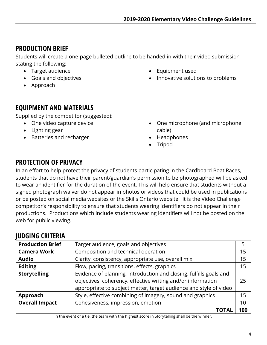#### **PRODUCTION BRIEF**

Students will create a one-page bulleted outline to be handed in with their video submission stating the following:

- Target audience
- Goals and objectives
- Approach
- Equipment used
- Innovative solutions to problems

#### **EQUIPMENT AND MATERIALS**

Supplied by the competitor (suggested):

- One video capture device
- Lighting gear
- Batteries and recharger
- One microphone (and microphone cable)
- Headphones
- Tripod

#### **PROTECTION OF PRIVACY**

In an effort to help protect the privacy of students participating in the Cardboard Boat Races, students that do not have their parent/guardian's permission to be photographed will be asked to wear an identifier for the duration of the event. This will help ensure that students without a signed photograph waiver do not appear in photos or videos that could be used in publications or be posted on social media websites or the Skills Ontario website. It is the Video Challenge competitor's responsibility to ensure that students wearing identifiers do not appear in their productions. Productions which include students wearing identifiers will not be posted on the web for public viewing.

#### **JUDGING CRITERIA**

| <b>Production Brief</b> | Target audience, goals and objectives                              |     |
|-------------------------|--------------------------------------------------------------------|-----|
| <b>Camera Work</b>      | Composition and technical operation                                | 15  |
| <b>Audio</b>            | Clarity, consistency, appropriate use, overall mix                 | 15  |
| <b>Editing</b>          | Flow, pacing, transitions, effects, graphics                       | 15  |
| <b>Storytelling</b>     | Evidence of planning, introduction and closing, fulfills goals and |     |
|                         | objectives, coherency, effective writing and/or information        | 25  |
|                         | appropriate to subject matter, target audience and style of video  |     |
| Approach                | Style, effective combining of imagery, sound and graphics          | 15  |
| <b>Overall Impact</b>   | Cohesiveness, impression, emotion                                  | 10  |
|                         |                                                                    | 100 |

In the event of a tie, the team with the highest score in Storytelling shall be the winner.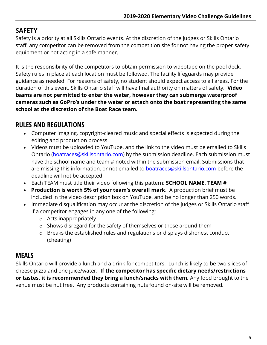#### **SAFETY**

Safety is a priority at all Skills Ontario events. At the discretion of the judges or Skills Ontario staff, any competitor can be removed from the competition site for not having the proper safety equipment or not acting in a safe manner.

It is the responsibility of the competitors to obtain permission to videotape on the pool deck. Safety rules in place at each location must be followed. The facility lifeguards may provide guidance as needed. For reasons of safety, no student should expect access to all areas. For the duration of this event, Skills Ontario staff will have final authority on matters of safety. **Video teams are not permitted to enter the water, however they can submerge waterproof cameras such as GoPro's under the water or attach onto the boat representing the same school at the discretion of the Boat Race team.**

#### **RULES AND REGULATIONS**

- Computer imaging, copyright-cleared music and special effects is expected during the editing and production process.
- Videos must be uploaded to YouTube, and the link to the video must be emailed to Skills Ontario [\(boatraces@skillsontario.com\)](mailto:boatraces@skillsontario.com) by the submission deadline. Each submission must have the school name and team # noted within the submission email. Submissions that are missing this information, or not emailed to **boatraces@skillsontario.com** before the deadline will not be accepted.
- Each TEAM must title their video following this pattern: **SCHOOL NAME, TEAM #**
- **Production is worth 5% of your team's overall mark**. A production brief must be included in the video description box on YouTube, and be no longer than 250 words.
- Immediate disqualification may occur at the discretion of the judges or Skills Ontario staff if a competitor engages in any one of the following:
	- o Acts inappropriately
	- o Shows disregard for the safety of themselves or those around them
	- o Breaks the established rules and regulations or displays dishonest conduct (cheating)

#### **MEALS**

Skills Ontario will provide a lunch and a drink for competitors. Lunch is likely to be two slices of cheese pizza and one juice/water. **If the competitor has specific dietary needs/restrictions or tastes, it is recommended they bring a lunch/snacks with them.** Any food brought to the venue must be nut free. Any products containing nuts found on-site will be removed.